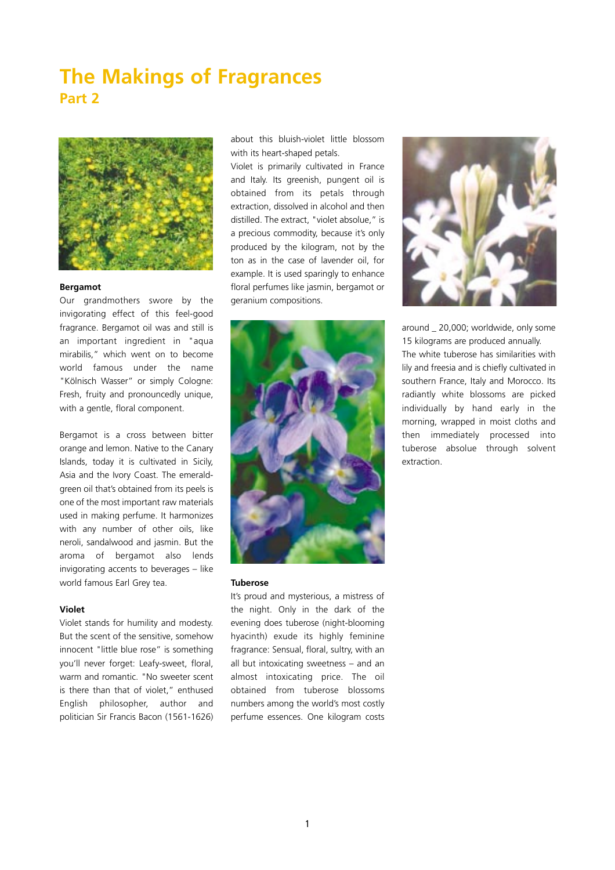# **The Makings of Fragrances Part 2**



## **Bergamot**

Our grandmothers swore by the invigorating effect of this feel-good fragrance. Bergamot oil was and still is an important ingredient in "aqua mirabilis," which went on to become world famous under the name "Kölnisch Wasser" or simply Cologne: Fresh, fruity and pronouncedly unique, with a gentle, floral component.

Bergamot is a cross between bitter orange and lemon. Native to the Canary Islands, today it is cultivated in Sicily, Asia and the Ivory Coast. The emeraldgreen oil that's obtained from its peels is one of the most important raw materials used in making perfume. It harmonizes with any number of other oils, like neroli, sandalwood and jasmin. But the aroma of bergamot also lends invigorating accents to beverages – like world famous Earl Grey tea.

## **Violet**

Violet stands for humility and modesty. But the scent of the sensitive, somehow innocent "little blue rose" is something you'll never forget: Leafy-sweet, floral, warm and romantic. "No sweeter scent is there than that of violet," enthused English philosopher, author and politician Sir Francis Bacon (1561-1626)

about this bluish-violet little blossom with its heart-shaped petals.

Violet is primarily cultivated in France and Italy. Its greenish, pungent oil is obtained from its petals through extraction, dissolved in alcohol and then distilled. The extract, "violet absolue," is a precious commodity, because it's only produced by the kilogram, not by the ton as in the case of lavender oil, for example. It is used sparingly to enhance floral perfumes like jasmin, bergamot or geranium compositions.



#### **Tuberose**

It's proud and mysterious, a mistress of the night. Only in the dark of the evening does tuberose (night-blooming hyacinth) exude its highly feminine fragrance: Sensual, floral, sultry, with an all but intoxicating sweetness – and an almost intoxicating price. The oil obtained from tuberose blossoms numbers among the world's most costly perfume essences. One kilogram costs



around \_ 20,000; worldwide, only some 15 kilograms are produced annually. The white tuberose has similarities with lily and freesia and is chiefly cultivated in southern France, Italy and Morocco. Its radiantly white blossoms are picked individually by hand early in the morning, wrapped in moist cloths and then immediately processed into tuberose absolue through solvent extraction.